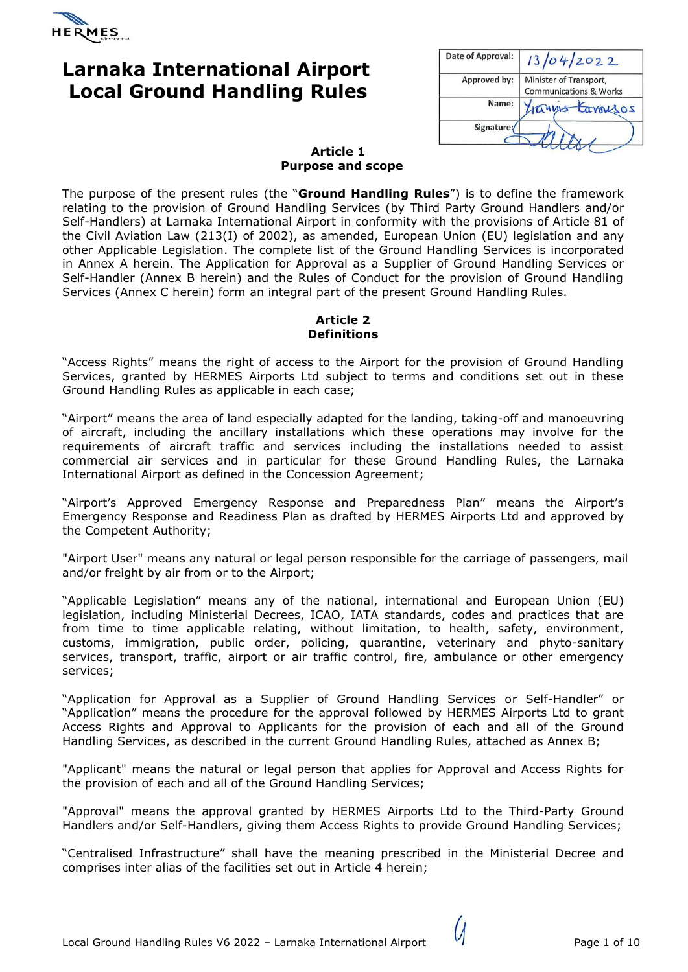

# **Larnaka International Airport Local Ground Handling Rules**

| Date of Approval: | 13/04/2022                        |
|-------------------|-----------------------------------|
| Approved by:      | Minister of Transport,            |
|                   | <b>Communications &amp; Works</b> |
| Name:             | rannes tarousos                   |
| Signature:        |                                   |
|                   |                                   |

#### **Article 1 Purpose and scope**

The purpose of the present rules (the "**Ground Handling Rules**") is to define the framework relating to the provision of Ground Handling Services (by Third Party Ground Handlers and/or Self-Handlers) at Larnaka International Airport in conformity with the provisions of Article 81 of the Civil Aviation Law (213(I) of 2002), as amended, European Union (EU) legislation and any other Applicable Legislation. The complete list of the Ground Handling Services is incorporated in Annex A herein. The Application for Approval as a Supplier of Ground Handling Services or Self-Handler (Annex B herein) and the Rules of Conduct for the provision of Ground Handling Services (Annex C herein) form an integral part of the present Ground Handling Rules.

### **Article 2 Definitions**

"Access Rights" means the right of access to the Airport for the provision of Ground Handling Services, granted by HERMES Airports Ltd subject to terms and conditions set out in these Ground Handling Rules as applicable in each case;

"Airport" means the area of land especially adapted for the landing, taking-off and manoeuvring of aircraft, including the ancillary installations which these operations may involve for the requirements of aircraft traffic and services including the installations needed to assist commercial air services and in particular for these Ground Handling Rules, the Larnaka International Airport as defined in the Concession Agreement;

"Airport's Approved Emergency Response and Preparedness Plan" means the Airport's Emergency Response and Readiness Plan as drafted by HERMES Airports Ltd and approved by the Competent Authority;

"Airport User" means any natural or legal person responsible for the carriage of passengers, mail and/or freight by air from or to the Airport;

"Applicable Legislation" means any of the national, international and European Union (EU) legislation, including Ministerial Decrees, ICAO, IATA standards, codes and practices that are from time to time applicable relating, without limitation, to health, safety, environment, customs, immigration, public order, policing, quarantine, veterinary and phyto-sanitary services, transport, traffic, airport or air traffic control, fire, ambulance or other emergency services;

"Application for Approval as a Supplier of Ground Handling Services or Self-Handler" or "Application" means the procedure for the approval followed by HERMES Airports Ltd to grant Access Rights and Approval to Applicants for the provision of each and all of the Ground Handling Services, as described in the current Ground Handling Rules, attached as Annex B;

"Applicant" means the natural or legal person that applies for Approval and Access Rights for the provision of each and all of the Ground Handling Services;

"Approval" means the approval granted by HERMES Airports Ltd to the Third-Party Ground Handlers and/or Self-Handlers, giving them Access Rights to provide Ground Handling Services;

"Centralised Infrastructure" shall have the meaning prescribed in the Ministerial Decree and comprises inter alias of the facilities set out in Article 4 herein;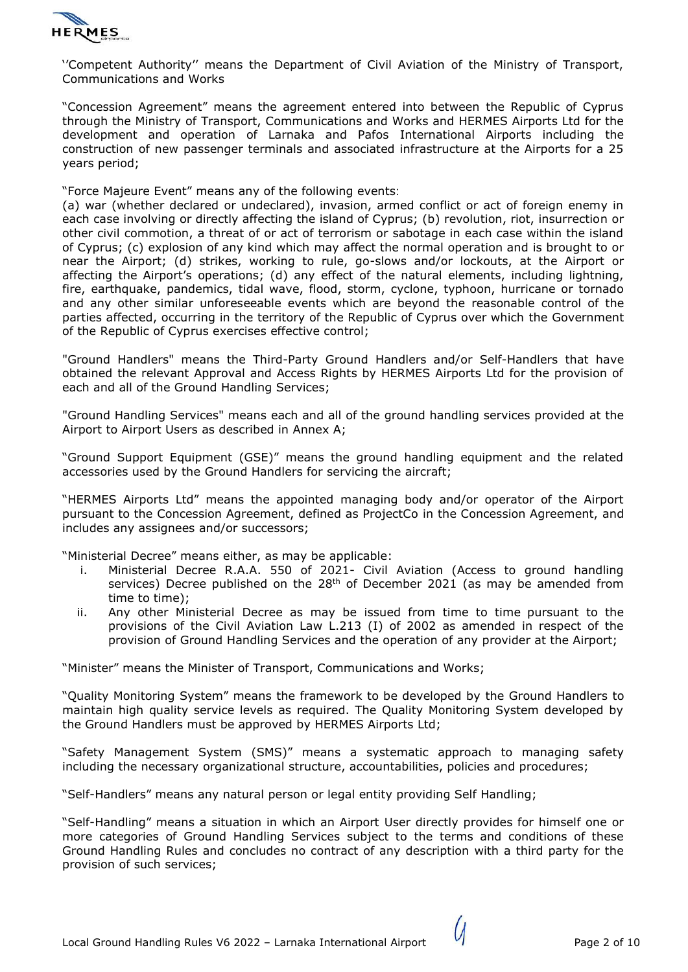

''Competent Authority'' means the Department of Civil Aviation of the Ministry of Transport, Communications and Works

"Concession Agreement" means the agreement entered into between the Republic of Cyprus through the Ministry of Transport, Communications and Works and HERMES Airports Ltd for the development and operation of Larnaka and Pafos International Airports including the construction of new passenger terminals and associated infrastructure at the Airports for a 25 years period;

"Force Majeure Event" means any of the following events:

(a) war (whether declared or undeclared), invasion, armed conflict or act of foreign enemy in each case involving or directly affecting the island of Cyprus; (b) revolution, riot, insurrection or other civil commotion, a threat of or act of terrorism or sabotage in each case within the island of Cyprus; (c) explosion of any kind which may affect the normal operation and is brought to or near the Airport; (d) strikes, working to rule, go-slows and/or lockouts, at the Airport or affecting the Airport's operations; (d) any effect of the natural elements, including lightning, fire, earthquake, pandemics, tidal wave, flood, storm, cyclone, typhoon, hurricane or tornado and any other similar unforeseeable events which are beyond the reasonable control of the parties affected, occurring in the territory of the Republic of Cyprus over which the Government of the Republic of Cyprus exercises effective control;

"Ground Handlers" means the Third-Party Ground Handlers and/or Self-Handlers that have obtained the relevant Approval and Access Rights by HERMES Airports Ltd for the provision of each and all of the Ground Handling Services;

"Ground Handling Services" means each and all of the ground handling services provided at the Airport to Airport Users as described in Annex A;

"Ground Support Equipment (GSE)" means the ground handling equipment and the related accessories used by the Ground Handlers for servicing the aircraft;

"HERMES Airports Ltd" means the appointed managing body and/or operator of the Airport pursuant to the Concession Agreement, defined as ProjectCo in the Concession Agreement, and includes any assignees and/or successors;

"Ministerial Decree" means either, as may be applicable:

- i. Ministerial Decree R.A.A. 550 of 2021- Civil Aviation (Access to ground handling services) Decree published on the 28<sup>th</sup> of December 2021 (as may be amended from time to time);
- ii. Any other Ministerial Decree as may be issued from time to time pursuant to the provisions of the Civil Aviation Law L.213 (I) of 2002 as amended in respect of the provision of Ground Handling Services and the operation of any provider at the Airport;

"Minister" means the Minister of Transport, Communications and Works;

"Quality Monitoring System" means the framework to be developed by the Ground Handlers to maintain high quality service levels as required. The Quality Monitoring System developed by the Ground Handlers must be approved by HERMES Airports Ltd;

"Safety Management System (SMS)" means a systematic approach to managing safety including the necessary organizational structure, accountabilities, policies and procedures;

"Self-Handlers" means any natural person or legal entity providing Self Handling;

"Self-Handling" means a situation in which an Airport User directly provides for himself one or more categories of Ground Handling Services subject to the terms and conditions of these Ground Handling Rules and concludes no contract of any description with a third party for the provision of such services;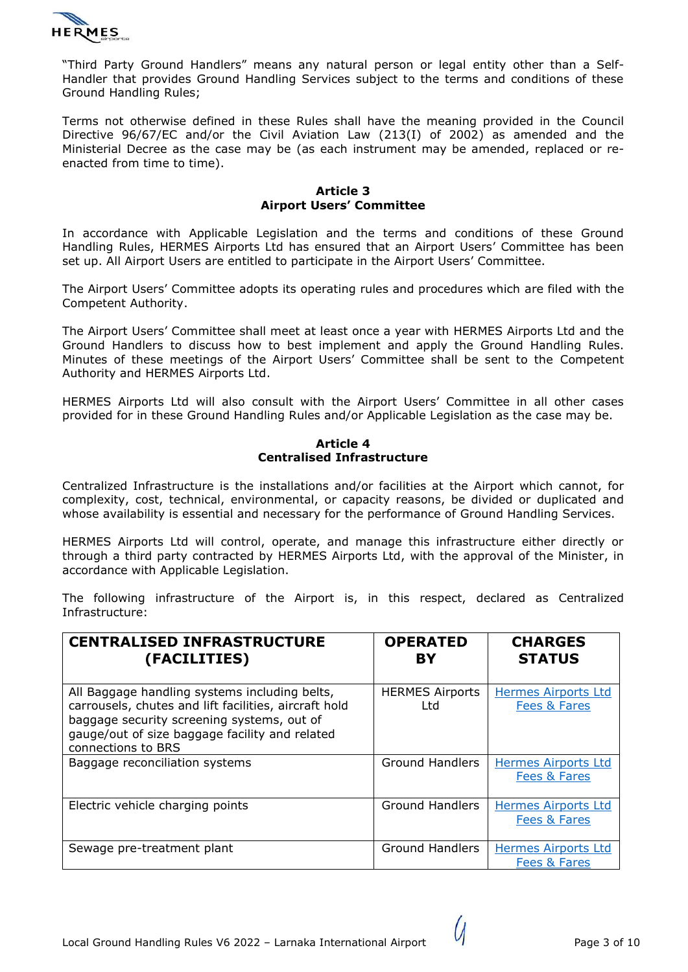

"Third Party Ground Handlers" means any natural person or legal entity other than a Self-Handler that provides Ground Handling Services subject to the terms and conditions of these Ground Handling Rules;

Terms not otherwise defined in these Rules shall have the meaning provided in the Council Directive 96/67/EC and/or the Civil Aviation Law (213(I) of 2002) as amended and the Ministerial Decree as the case may be (as each instrument may be amended, replaced or reenacted from time to time).

#### **Article 3 Airport Users' Committee**

In accordance with Applicable Legislation and the terms and conditions of these Ground Handling Rules, HERMES Airports Ltd has ensured that an Airport Users' Committee has been set up. All Airport Users are entitled to participate in the Airport Users' Committee.

The Airport Users' Committee adopts its operating rules and procedures which are filed with the Competent Authority.

The Airport Users' Committee shall meet at least once a year with HERMES Airports Ltd and the Ground Handlers to discuss how to best implement and apply the Ground Handling Rules. Minutes of these meetings of the Airport Users' Committee shall be sent to the Competent Authority and HERMES Airports Ltd.

HERMES Airports Ltd will also consult with the Airport Users' Committee in all other cases provided for in these Ground Handling Rules and/or Applicable Legislation as the case may be.

#### **Article 4 Centralised Infrastructure**

Centralized Infrastructure is the installations and/or facilities at the Airport which cannot, for complexity, cost, technical, environmental, or capacity reasons, be divided or duplicated and whose availability is essential and necessary for the performance of Ground Handling Services.

HERMES Airports Ltd will control, operate, and manage this infrastructure either directly or through a third party contracted by HERMES Airports Ltd, with the approval of the Minister, in accordance with Applicable Legislation.

The following infrastructure of the Airport is, in this respect, declared as Centralized Infrastructure:

| <b>CENTRALISED INFRASTRUCTURE</b><br>(FACILITIES)                                                                                                                                                                            | <b>OPERATED</b><br>BY           | <b>CHARGES</b><br><b>STATUS</b>            |
|------------------------------------------------------------------------------------------------------------------------------------------------------------------------------------------------------------------------------|---------------------------------|--------------------------------------------|
| All Baggage handling systems including belts,<br>carrousels, chutes and lift facilities, aircraft hold<br>baggage security screening systems, out of<br>gauge/out of size baggage facility and related<br>connections to BRS | <b>HERMES Airports</b><br>l td. | <b>Hermes Airports Ltd</b><br>Fees & Fares |
| Baggage reconciliation systems                                                                                                                                                                                               | <b>Ground Handlers</b>          | <b>Hermes Airports Ltd</b><br>Fees & Fares |
| Electric vehicle charging points                                                                                                                                                                                             | <b>Ground Handlers</b>          | <b>Hermes Airports Ltd</b><br>Fees & Fares |
| Sewage pre-treatment plant                                                                                                                                                                                                   | <b>Ground Handlers</b>          | <b>Hermes Airports Ltd</b><br>Fees & Fares |

 $\mathcal U$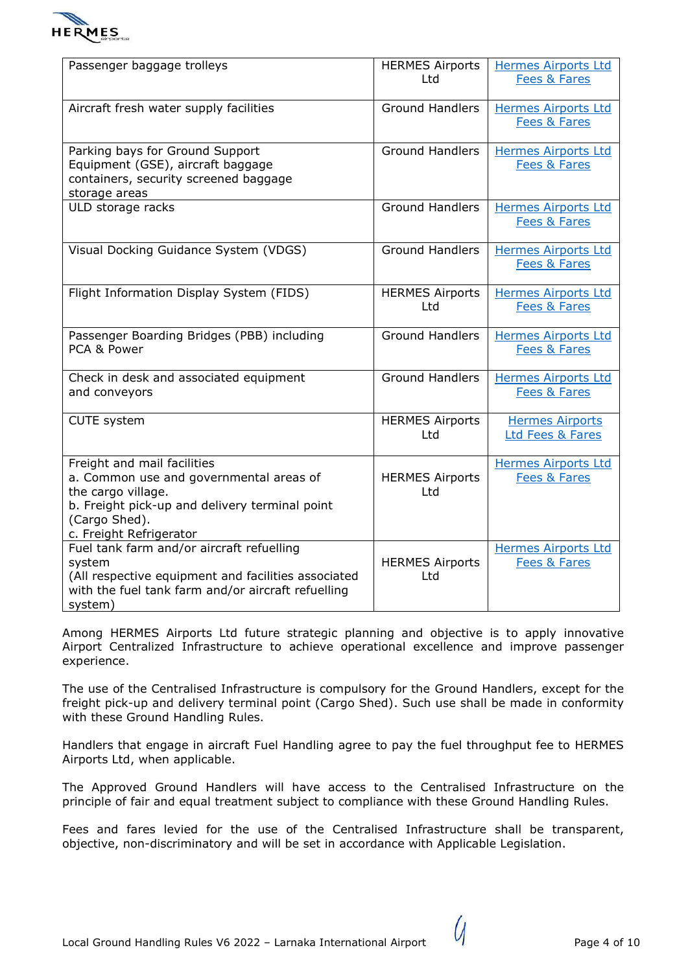

| Passenger baggage trolleys                                                                                                                                                                 | <b>HERMES Airports</b><br>Ltd | <b>Hermes Airports Ltd</b><br><b>Fees &amp; Fares</b> |
|--------------------------------------------------------------------------------------------------------------------------------------------------------------------------------------------|-------------------------------|-------------------------------------------------------|
| Aircraft fresh water supply facilities                                                                                                                                                     | <b>Ground Handlers</b>        | <b>Hermes Airports Ltd</b><br>Fees & Fares            |
| Parking bays for Ground Support<br>Equipment (GSE), aircraft baggage<br>containers, security screened baggage<br>storage areas                                                             | <b>Ground Handlers</b>        | <b>Hermes Airports Ltd</b><br>Fees & Fares            |
| ULD storage racks                                                                                                                                                                          | <b>Ground Handlers</b>        | <b>Hermes Airports Ltd</b><br>Fees & Fares            |
| Visual Docking Guidance System (VDGS)                                                                                                                                                      | <b>Ground Handlers</b>        | <b>Hermes Airports Ltd</b><br>Fees & Fares            |
| Flight Information Display System (FIDS)                                                                                                                                                   | <b>HERMES Airports</b><br>Ltd | <b>Hermes Airports Ltd</b><br>Fees & Fares            |
| Passenger Boarding Bridges (PBB) including<br>PCA & Power                                                                                                                                  | <b>Ground Handlers</b>        | <b>Hermes Airports Ltd</b><br>Fees & Fares            |
| Check in desk and associated equipment<br>and conveyors                                                                                                                                    | <b>Ground Handlers</b>        | <b>Hermes Airports Ltd</b><br>Fees & Fares            |
| <b>CUTE</b> system                                                                                                                                                                         | <b>HERMES Airports</b><br>Ltd | <b>Hermes Airports</b><br>Ltd Fees & Fares            |
| Freight and mail facilities<br>a. Common use and governmental areas of<br>the cargo village.<br>b. Freight pick-up and delivery terminal point<br>(Cargo Shed).<br>c. Freight Refrigerator | <b>HERMES Airports</b><br>Ltd | <b>Hermes Airports Ltd</b><br>Fees & Fares            |
| Fuel tank farm and/or aircraft refuelling<br>system<br>(All respective equipment and facilities associated<br>with the fuel tank farm and/or aircraft refuelling<br>system)                | <b>HERMES Airports</b><br>Ltd | <b>Hermes Airports Ltd</b><br>Fees & Fares            |

Among HERMES Airports Ltd future strategic planning and objective is to apply innovative Airport Centralized Infrastructure to achieve operational excellence and improve passenger experience.

The use of the Centralised Infrastructure is compulsory for the Ground Handlers, except for the freight pick-up and delivery terminal point (Cargo Shed). Such use shall be made in conformity with these Ground Handling Rules.

Handlers that engage in aircraft Fuel Handling agree to pay the fuel throughput fee to HERMES Airports Ltd, when applicable.

The Approved Ground Handlers will have access to the Centralised Infrastructure on the principle of fair and equal treatment subject to compliance with these Ground Handling Rules.

Fees and fares levied for the use of the Centralised Infrastructure shall be transparent, objective, non-discriminatory and will be set in accordance with Applicable Legislation.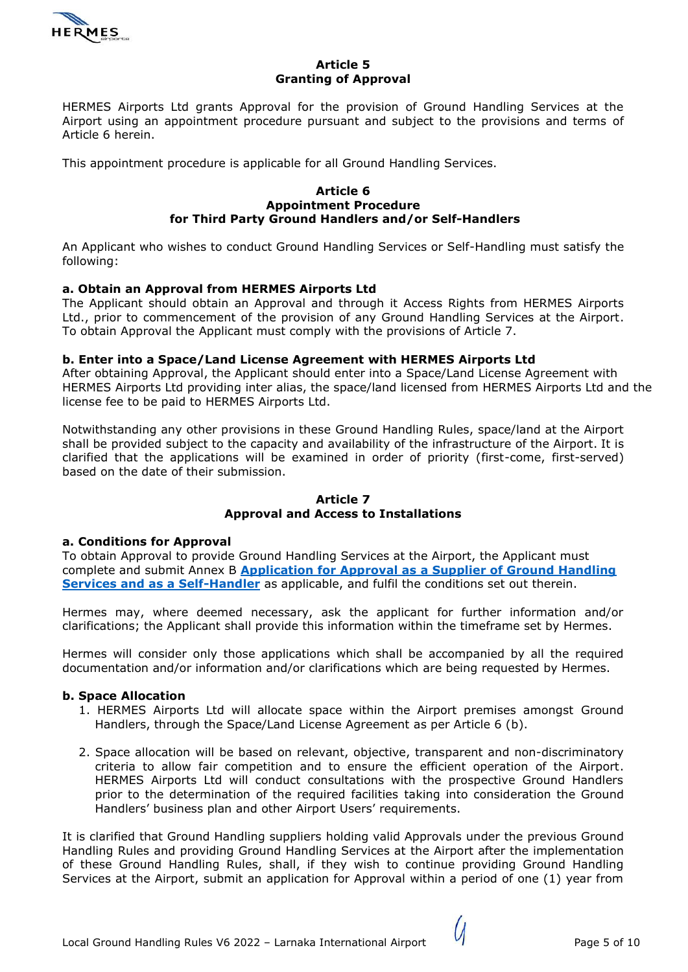

### **Article 5 Granting of Approval**

HERMES Airports Ltd grants Approval for the provision of Ground Handling Services at the Airport using an appointment procedure pursuant and subject to the provisions and terms of Article 6 herein.

This appointment procedure is applicable for all Ground Handling Services.

#### **Article 6 Appointment Procedure for Third Party Ground Handlers and/or Self-Handlers**

An Applicant who wishes to conduct Ground Handling Services or Self-Handling must satisfy the following:

## **a. Obtain an Approval from HERMES Airports Ltd**

The Applicant should obtain an Approval and through it Access Rights from HERMES Airports Ltd., prior to commencement of the provision of any Ground Handling Services at the Airport. To obtain Approval the Applicant must comply with the provisions of Article 7.

## **b. Enter into a Space/Land License Agreement with HERMES Airports Ltd**

After obtaining Approval, the Applicant should enter into a Space/Land License Agreement with HERMES Airports Ltd providing inter alias, the space/land licensed from HERMES Airports Ltd and the license fee to be paid to HERMES Airports Ltd.

Notwithstanding any other provisions in these Ground Handling Rules, space/land at the Airport shall be provided subject to the capacity and availability of the infrastructure of the Airport. It is clarified that the applications will be examined in order of priority (first-come, first-served) based on the date of their submission.

#### **Article 7 Approval and Access to Installations**

## **a. Conditions for Approval**

To obtain Approval to provide Ground Handling Services at the Airport, the Applicant must complete and submit Annex B **Application for Approval as [a Supplier of Ground Handling](https://hermesoffice365-my.sharepoint.com/:f:/g/personal/yiannis_harpas_hermesairports_com/EmkLy7PSNkRJmei0mN8DCjIBlwnhCmWcUZTNuauA6RfHEw?e=3NvDnv)  [Services and as a Self-Handler](https://hermesoffice365-my.sharepoint.com/:f:/g/personal/yiannis_harpas_hermesairports_com/EmkLy7PSNkRJmei0mN8DCjIBlwnhCmWcUZTNuauA6RfHEw?e=3NvDnv)** as applicable, and fulfil the conditions set out therein.

Hermes may, where deemed necessary, ask the applicant for further information and/or clarifications; the Applicant shall provide this information within the timeframe set by Hermes.

Hermes will consider only those applications which shall be accompanied by all the required documentation and/or information and/or clarifications which are being requested by Hermes.

## **b. Space Allocation**

- 1. HERMES Airports Ltd will allocate space within the Airport premises amongst Ground Handlers, through the Space/Land License Agreement as per Article 6 (b).
- 2. Space allocation will be based on relevant, objective, transparent and non-discriminatory criteria to allow fair competition and to ensure the efficient operation of the Airport. HERMES Airports Ltd will conduct consultations with the prospective Ground Handlers prior to the determination of the required facilities taking into consideration the Ground Handlers' business plan and other Airport Users' requirements.

It is clarified that Ground Handling suppliers holding valid Approvals under the previous Ground Handling Rules and providing Ground Handling Services at the Airport after the implementation of these Ground Handling Rules, shall, if they wish to continue providing Ground Handling Services at the Airport, submit an application for Approval within a period of one (1) year from

( I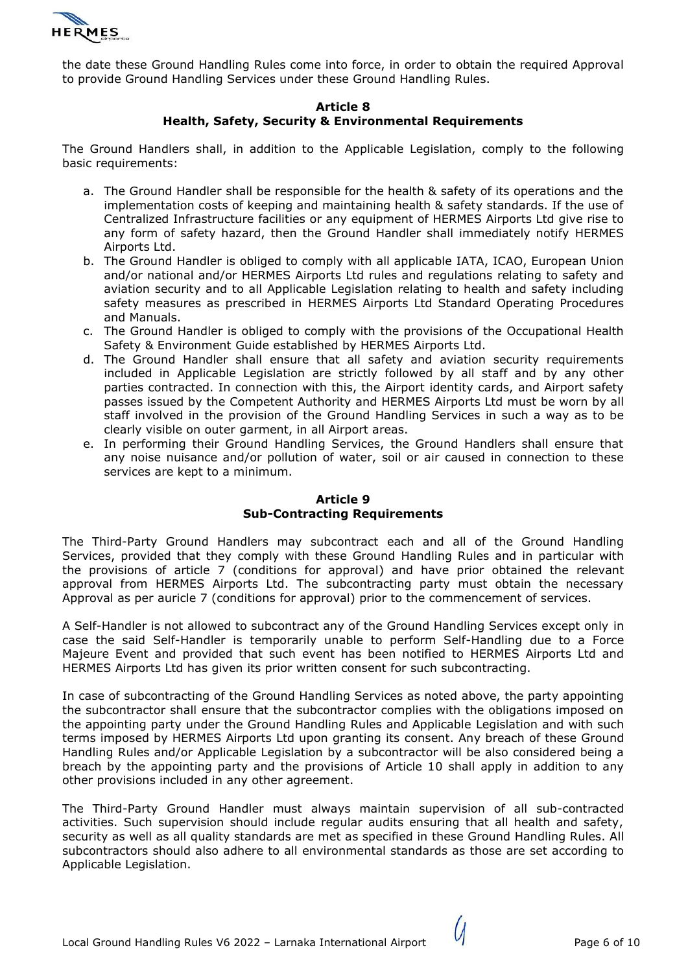

the date these Ground Handling Rules come into force, in order to obtain the required Approval to provide Ground Handling Services under these Ground Handling Rules.

### **Article 8 Health, Safety, Security & Environmental Requirements**

The Ground Handlers shall, in addition to the Applicable Legislation, comply to the following basic requirements:

- a. The Ground Handler shall be responsible for the health & safety of its operations and the implementation costs of keeping and maintaining health & safety standards. If the use of Centralized Infrastructure facilities or any equipment of HERMES Airports Ltd give rise to any form of safety hazard, then the Ground Handler shall immediately notify HERMES Airports Ltd.
- b. The Ground Handler is obliged to comply with all applicable IATA, ICAO, European Union and/or national and/or HERMES Airports Ltd rules and regulations relating to safety and aviation security and to all Applicable Legislation relating to health and safety including safety measures as prescribed in HERMES Airports Ltd Standard Operating Procedures and Manuals.
- c. The Ground Handler is obliged to comply with the provisions of the Occupational Health Safety & Environment Guide established by HERMES Airports Ltd.
- d. The Ground Handler shall ensure that all safety and aviation security requirements included in Applicable Legislation are strictly followed by all staff and by any other parties contracted. In connection with this, the Airport identity cards, and Airport safety passes issued by the Competent Authority and HERMES Airports Ltd must be worn by all staff involved in the provision of the Ground Handling Services in such a way as to be clearly visible on outer garment, in all Airport areas.
- e. In performing their Ground Handling Services, the Ground Handlers shall ensure that any noise nuisance and/or pollution of water, soil or air caused in connection to these services are kept to a minimum.

## **Article 9 Sub-Contracting Requirements**

The Third-Party Ground Handlers may subcontract each and all of the Ground Handling Services, provided that they comply with these Ground Handling Rules and in particular with the provisions of article 7 (conditions for approval) and have prior obtained the relevant approval from HERMES Airports Ltd. The subcontracting party must obtain the necessary Approval as per auricle 7 (conditions for approval) prior to the commencement of services.

A Self-Handler is not allowed to subcontract any of the Ground Handling Services except only in case the said Self-Handler is temporarily unable to perform Self-Handling due to a Force Majeure Event and provided that such event has been notified to HERMES Airports Ltd and HERMES Airports Ltd has given its prior written consent for such subcontracting.

In case of subcontracting of the Ground Handling Services as noted above, the party appointing the subcontractor shall ensure that the subcontractor complies with the obligations imposed on the appointing party under the Ground Handling Rules and Applicable Legislation and with such terms imposed by HERMES Airports Ltd upon granting its consent. Any breach of these Ground Handling Rules and/or Applicable Legislation by a subcontractor will be also considered being a breach by the appointing party and the provisions of Article 10 shall apply in addition to any other provisions included in any other agreement.

The Third-Party Ground Handler must always maintain supervision of all sub-contracted activities. Such supervision should include regular audits ensuring that all health and safety, security as well as all quality standards are met as specified in these Ground Handling Rules. All subcontractors should also adhere to all environmental standards as those are set according to Applicable Legislation.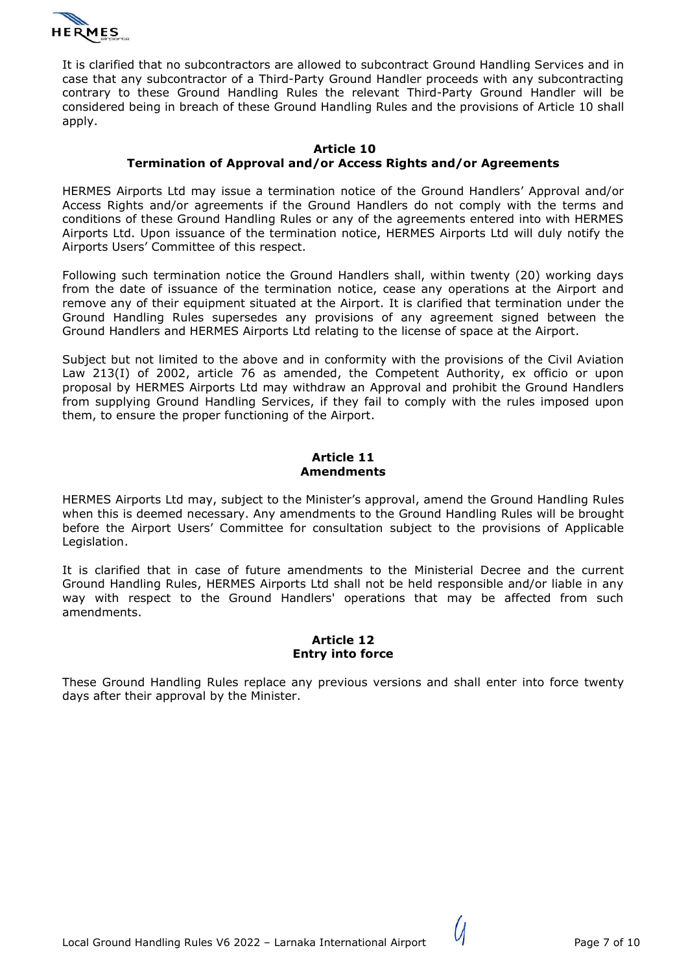

It is clarified that no subcontractors are allowed to subcontract Ground Handling Services and in case that any subcontractor of a Third-Party Ground Handler proceeds with any subcontracting contrary to these Ground Handling Rules the relevant Third-Party Ground Handler will be considered being in breach of these Ground Handling Rules and the provisions of Article 10 shall apply.

#### **Article 10 Termination of Approval and/or Access Rights and/or Agreements**

HERMES Airports Ltd may issue a termination notice of the Ground Handlers' Approval and/or Access Rights and/or agreements if the Ground Handlers do not comply with the terms and conditions of these Ground Handling Rules or any of the agreements entered into with HERMES Airports Ltd. Upon issuance of the termination notice, HERMES Airports Ltd will duly notify the Airports Users' Committee of this respect.

Following such termination notice the Ground Handlers shall, within twenty (20) working days from the date of issuance of the termination notice, cease any operations at the Airport and remove any of their equipment situated at the Airport. It is clarified that termination under the Ground Handling Rules supersedes any provisions of any agreement signed between the Ground Handlers and HERMES Airports Ltd relating to the license of space at the Airport.

Subject but not limited to the above and in conformity with the provisions of the Civil Aviation Law 213(I) of 2002, article 76 as amended, the Competent Authority, ex officio or upon proposal by HERMES Airports Ltd may withdraw an Approval and prohibit the Ground Handlers from supplying Ground Handling Services, if they fail to comply with the rules imposed upon them, to ensure the proper functioning of the Airport.

#### **Article 11 Amendments**

HERMES Airports Ltd may, subject to the Minister's approval, amend the Ground Handling Rules when this is deemed necessary. Any amendments to the Ground Handling Rules will be brought before the Airport Users' Committee for consultation subject to the provisions of Applicable Legislation.

It is clarified that in case of future amendments to the Ministerial Decree and the current Ground Handling Rules, HERMES Airports Ltd shall not be held responsible and/or liable in any way with respect to the Ground Handlers' operations that may be affected from such amendments.

#### **Article 12 Entry into force**

These Ground Handling Rules replace any previous versions and shall enter into force twenty days after their approval by the Minister.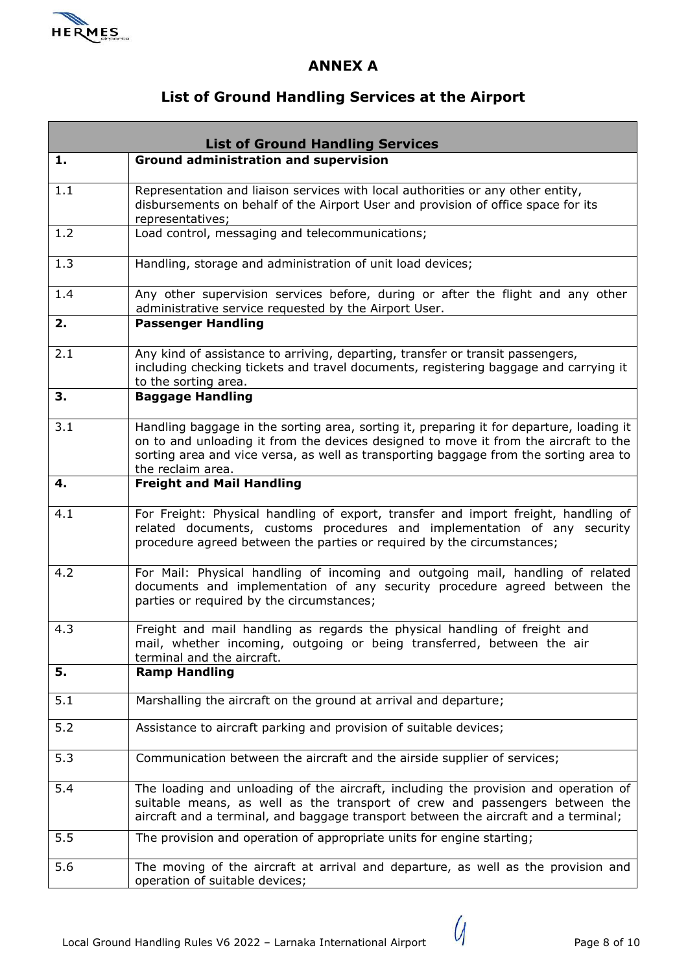

# **ANNEX A**

# **List of Ground Handling Services at the Airport**

| <b>List of Ground Handling Services</b> |                                                                                                                                                                                                                                                                                                |  |
|-----------------------------------------|------------------------------------------------------------------------------------------------------------------------------------------------------------------------------------------------------------------------------------------------------------------------------------------------|--|
| 1.                                      | <b>Ground administration and supervision</b>                                                                                                                                                                                                                                                   |  |
| 1.1                                     | Representation and liaison services with local authorities or any other entity,<br>disbursements on behalf of the Airport User and provision of office space for its<br>representatives;                                                                                                       |  |
| 1.2                                     | Load control, messaging and telecommunications;                                                                                                                                                                                                                                                |  |
| 1.3                                     | Handling, storage and administration of unit load devices;                                                                                                                                                                                                                                     |  |
| 1.4                                     | Any other supervision services before, during or after the flight and any other<br>administrative service requested by the Airport User.                                                                                                                                                       |  |
| 2.                                      | <b>Passenger Handling</b>                                                                                                                                                                                                                                                                      |  |
| 2.1                                     | Any kind of assistance to arriving, departing, transfer or transit passengers,<br>including checking tickets and travel documents, registering baggage and carrying it<br>to the sorting area.                                                                                                 |  |
| 3.                                      | <b>Baggage Handling</b>                                                                                                                                                                                                                                                                        |  |
| 3.1                                     | Handling baggage in the sorting area, sorting it, preparing it for departure, loading it<br>on to and unloading it from the devices designed to move it from the aircraft to the<br>sorting area and vice versa, as well as transporting baggage from the sorting area to<br>the reclaim area. |  |
| 4.                                      | <b>Freight and Mail Handling</b>                                                                                                                                                                                                                                                               |  |
| 4.1                                     | For Freight: Physical handling of export, transfer and import freight, handling of<br>related documents, customs procedures and implementation of any security<br>procedure agreed between the parties or required by the circumstances;                                                       |  |
| 4.2                                     | For Mail: Physical handling of incoming and outgoing mail, handling of related<br>documents and implementation of any security procedure agreed between the<br>parties or required by the circumstances;                                                                                       |  |
| 4.3                                     | Freight and mail handling as regards the physical handling of freight and<br>mail, whether incoming, outgoing or being transferred, between the air<br>terminal and the aircraft.                                                                                                              |  |
| 5.                                      | <b>Ramp Handling</b>                                                                                                                                                                                                                                                                           |  |
| 5.1                                     | Marshalling the aircraft on the ground at arrival and departure;                                                                                                                                                                                                                               |  |
| 5.2                                     | Assistance to aircraft parking and provision of suitable devices;                                                                                                                                                                                                                              |  |
| 5.3                                     | Communication between the aircraft and the airside supplier of services;                                                                                                                                                                                                                       |  |
| 5.4                                     | The loading and unloading of the aircraft, including the provision and operation of<br>suitable means, as well as the transport of crew and passengers between the<br>aircraft and a terminal, and baggage transport between the aircraft and a terminal;                                      |  |
| 5.5                                     | The provision and operation of appropriate units for engine starting;                                                                                                                                                                                                                          |  |
| 5.6                                     | The moving of the aircraft at arrival and departure, as well as the provision and<br>operation of suitable devices;                                                                                                                                                                            |  |

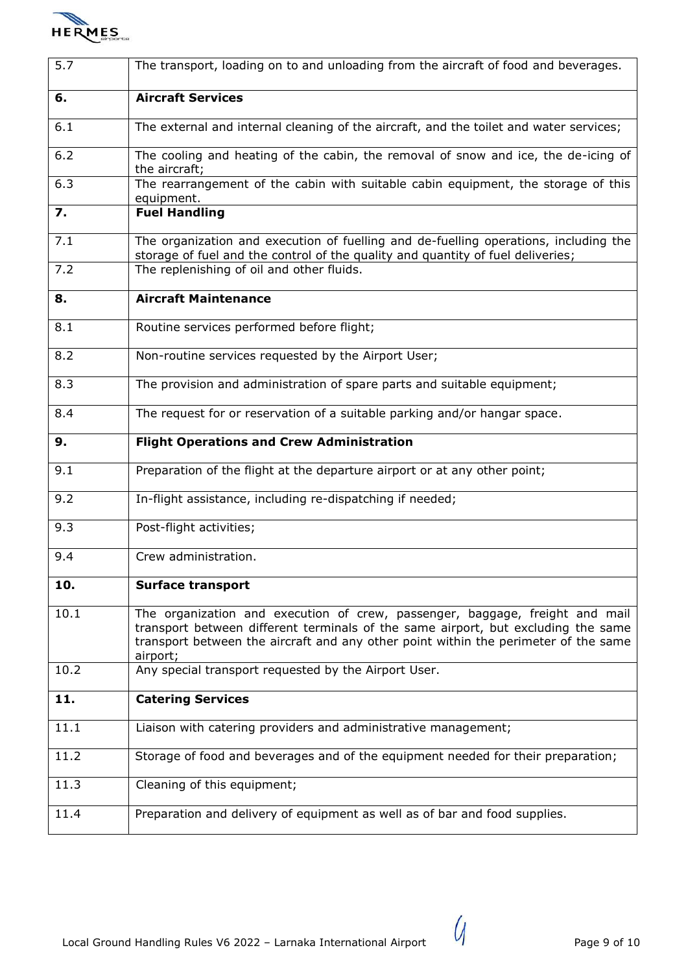

| 5.7  | The transport, loading on to and unloading from the aircraft of food and beverages.                                                                                                                                                                                  |
|------|----------------------------------------------------------------------------------------------------------------------------------------------------------------------------------------------------------------------------------------------------------------------|
| 6.   | <b>Aircraft Services</b>                                                                                                                                                                                                                                             |
| 6.1  | The external and internal cleaning of the aircraft, and the toilet and water services;                                                                                                                                                                               |
| 6.2  | The cooling and heating of the cabin, the removal of snow and ice, the de-icing of<br>the aircraft;                                                                                                                                                                  |
| 6.3  | The rearrangement of the cabin with suitable cabin equipment, the storage of this<br>equipment.                                                                                                                                                                      |
| 7.   | <b>Fuel Handling</b>                                                                                                                                                                                                                                                 |
| 7.1  | The organization and execution of fuelling and de-fuelling operations, including the<br>storage of fuel and the control of the quality and quantity of fuel deliveries;                                                                                              |
| 7.2  | The replenishing of oil and other fluids.                                                                                                                                                                                                                            |
| 8.   | <b>Aircraft Maintenance</b>                                                                                                                                                                                                                                          |
| 8.1  | Routine services performed before flight;                                                                                                                                                                                                                            |
| 8.2  | Non-routine services requested by the Airport User;                                                                                                                                                                                                                  |
| 8.3  | The provision and administration of spare parts and suitable equipment;                                                                                                                                                                                              |
| 8.4  | The request for or reservation of a suitable parking and/or hangar space.                                                                                                                                                                                            |
| 9.   | <b>Flight Operations and Crew Administration</b>                                                                                                                                                                                                                     |
| 9.1  | Preparation of the flight at the departure airport or at any other point;                                                                                                                                                                                            |
| 9.2  | In-flight assistance, including re-dispatching if needed;                                                                                                                                                                                                            |
| 9.3  | Post-flight activities;                                                                                                                                                                                                                                              |
| 9.4  | Crew administration.                                                                                                                                                                                                                                                 |
| 10.  | <b>Surface transport</b>                                                                                                                                                                                                                                             |
| 10.1 | The organization and execution of crew, passenger, baggage, freight and mail<br>transport between different terminals of the same airport, but excluding the same<br>transport between the aircraft and any other point within the perimeter of the same<br>airport; |
| 10.2 | Any special transport requested by the Airport User.                                                                                                                                                                                                                 |
| 11.  | <b>Catering Services</b>                                                                                                                                                                                                                                             |
| 11.1 | Liaison with catering providers and administrative management;                                                                                                                                                                                                       |
| 11.2 | Storage of food and beverages and of the equipment needed for their preparation;                                                                                                                                                                                     |
| 11.3 | Cleaning of this equipment;                                                                                                                                                                                                                                          |
| 11.4 | Preparation and delivery of equipment as well as of bar and food supplies.                                                                                                                                                                                           |